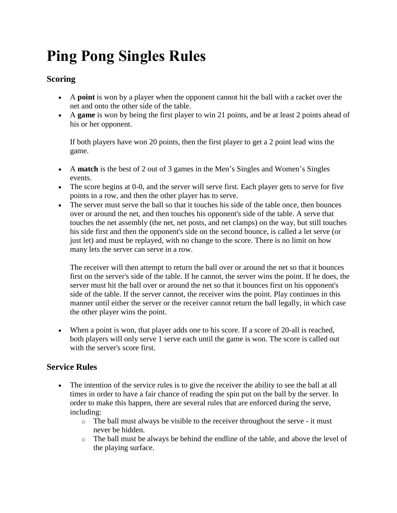# **Ping Pong Singles Rules**

# **Scoring**

- A **point** is won by a player when the opponent cannot hit the ball with a racket over the net and onto the other side of the table.
- A **game** is won by being the first player to win 21 points, and be at least 2 points ahead of his or her opponent.

If both players have won 20 points, then the first player to get a 2 point lead wins the game.

- A **match** is the best of 2 out of 3 games in the Men's Singles and Women's Singles events.
- The score begins at 0-0, and the server will serve first. Each player gets to serve for five points in a row, and then the other player has to serve.
- The server must serve the ball so that it touches his side of the table once, then bounces over or around the net, and then touches his opponent's side of the table. A serve that touches the net assembly (the net, net posts, and net clamps) on the way, but still touches his side first and then the opponent's side on the second bounce, is called a let serve (or just let) and must be replayed, with no change to the score. There is no limit on how many lets the server can serve in a row.

The receiver will then attempt to return the ball over or around the net so that it bounces first on the server's side of the table. If he cannot, the server wins the point. If he does, the server must hit the ball over or around the net so that it bounces first on his opponent's side of the table. If the server cannot, the receiver wins the point. Play continues in this manner until either the server or the receiver cannot return the ball legally, in which case the other player wins the point.

 When a point is won, that player adds one to his score. If a score of 20-all is reached, both players will only serve 1 serve each until the game is won. The score is called out with the server's score first.

# **Service Rules**

- The intention of the service rules is to give the receiver the ability to see the ball at all times in order to have a fair chance of reading the spin put on the ball by the server. In order to make this happen, there are several rules that are enforced during the serve, including:
	- $\circ$  The ball must always be visible to the receiver throughout the serve it must never be hidden.
	- o The ball must be always be behind the endline of the table, and above the level of the playing surface.